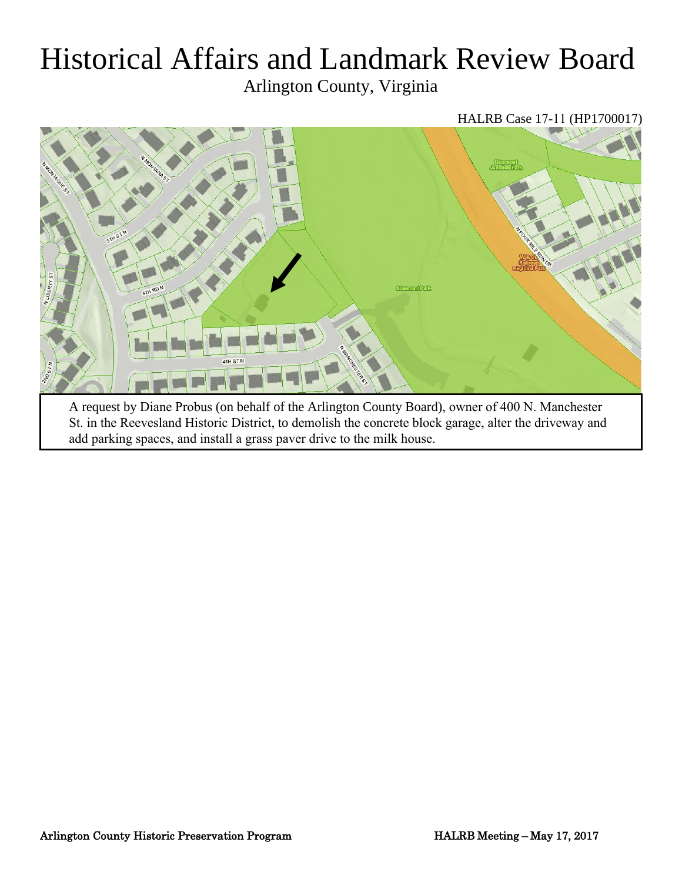# Historical Affairs and Landmark Review Board

Arlington County, Virginia

HALRB Case 17-11 (HP1700017)



St. in the Reevesland Historic District, to demolish the concrete block garage, alter the driveway and add parking spaces, and install a grass paver drive to the milk house.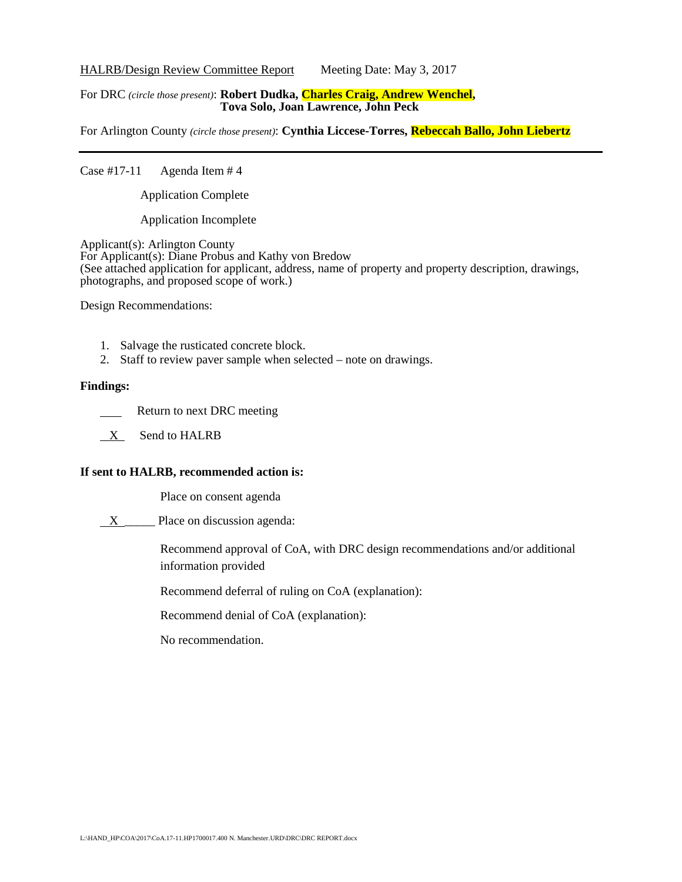HALRB/Design Review Committee Report Meeting Date: May 3, 2017

#### For DRC *(circle those present)*: **Robert Dudka, Charles Craig, Andrew Wenchel, Tova Solo, Joan Lawrence, John Peck**

For Arlington County *(circle those present)*: **Cynthia Liccese-Torres, Rebeccah Ballo, John Liebertz**

Case  $\#17-11$  Agenda Item  $\#4$ 

Application Complete

Application Incomplete

Applicant(s): Arlington County For Applicant(s): Diane Probus and Kathy von Bredow (See attached application for applicant, address, name of property and property description, drawings, photographs, and proposed scope of work.)

Design Recommendations:

- 1. Salvage the rusticated concrete block.
- 2. Staff to review paver sample when selected note on drawings.

## **Findings:**

- Return to next DRC meeting
- X Send to HALRB

## **If sent to HALRB, recommended action is:**

Place on consent agenda

X \_\_\_\_\_\_ Place on discussion agenda:

Recommend approval of CoA, with DRC design recommendations and/or additional information provided

Recommend deferral of ruling on CoA (explanation):

Recommend denial of CoA (explanation):

No recommendation.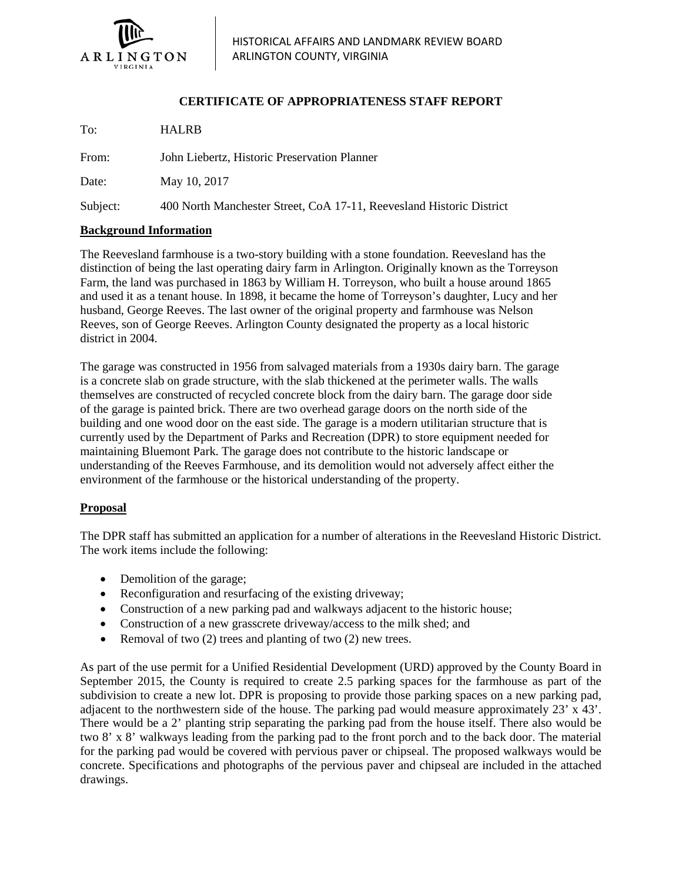

## **CERTIFICATE OF APPROPRIATENESS STAFF REPORT**

To: HALRB From: John Liebertz, Historic Preservation Planner Date: May 10, 2017 Subject: 400 North Manchester Street, CoA 17-11, Reevesland Historic District

## **Background Information**

The Reevesland farmhouse is a two-story building with a stone foundation. Reevesland has the distinction of being the last operating dairy farm in Arlington. Originally known as the Torreyson Farm, the land was purchased in 1863 by William H. Torreyson, who built a house around 1865 and used it as a tenant house. In 1898, it became the home of Torreyson's daughter, Lucy and her husband, George Reeves. The last owner of the original property and farmhouse was Nelson Reeves, son of George Reeves. Arlington County designated the property as a local historic district in 2004.

The garage was constructed in 1956 from salvaged materials from a 1930s dairy barn. The garage is a concrete slab on grade structure, with the slab thickened at the perimeter walls. The walls themselves are constructed of recycled concrete block from the dairy barn. The garage door side of the garage is painted brick. There are two overhead garage doors on the north side of the building and one wood door on the east side. The garage is a modern utilitarian structure that is currently used by the Department of Parks and Recreation (DPR) to store equipment needed for maintaining Bluemont Park. The garage does not contribute to the historic landscape or understanding of the Reeves Farmhouse, and its demolition would not adversely affect either the environment of the farmhouse or the historical understanding of the property.

## **Proposal**

The DPR staff has submitted an application for a number of alterations in the Reevesland Historic District. The work items include the following:

- Demolition of the garage;
- Reconfiguration and resurfacing of the existing driveway;
- Construction of a new parking pad and walkways adjacent to the historic house;
- Construction of a new grasscrete driveway/access to the milk shed; and
- Removal of two (2) trees and planting of two (2) new trees.

As part of the use permit for a Unified Residential Development (URD) approved by the County Board in September 2015, the County is required to create 2.5 parking spaces for the farmhouse as part of the subdivision to create a new lot. DPR is proposing to provide those parking spaces on a new parking pad, adjacent to the northwestern side of the house. The parking pad would measure approximately 23' x 43'. There would be a 2' planting strip separating the parking pad from the house itself. There also would be two 8' x 8' walkways leading from the parking pad to the front porch and to the back door. The material for the parking pad would be covered with pervious paver or chipseal. The proposed walkways would be concrete. Specifications and photographs of the pervious paver and chipseal are included in the attached drawings.